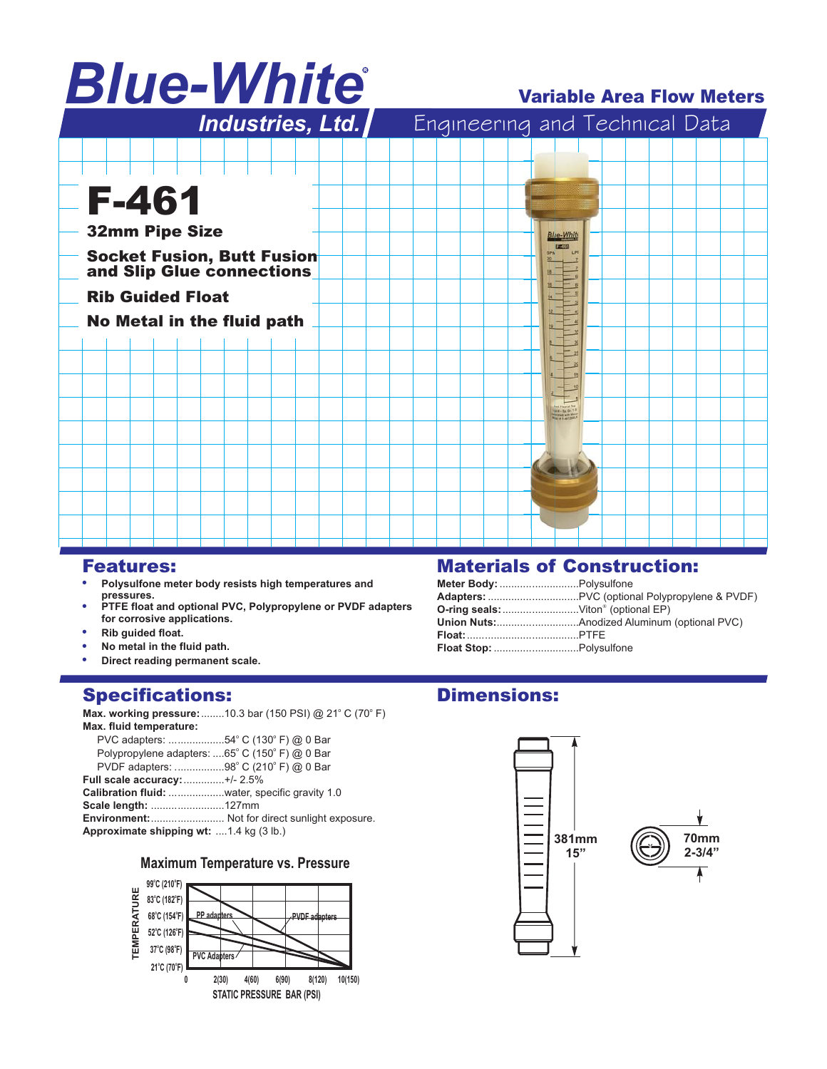# *Blue-White* R

# Variable Area Flow Meters



## Features:

- **. Polysulfone meter body resists high temperatures and pressures.**
- .<br>• **PTFE float and optional PVC, Polypropylene or PVDF adapters for corrosive applications.**
- **. Rib guided float.**
- **. No metal in the fluid path.**
- **. Direct reading permanent scale.**

## Specifications:

**Max. working pressure:**........10.3 bar (150 PSI) @ 21° C (70° F) **Max. fluid temperature:**

| PVC adapters: 54° C (130° F) @ 0 Bar           |                                                       |
|------------------------------------------------|-------------------------------------------------------|
| Polypropylene adapters: 65° C (150° F) @ 0 Bar |                                                       |
| PVDF adapters: 98° C (210° F) @ 0 Bar          |                                                       |
| Full scale accuracy: +/- 2.5%                  |                                                       |
| Calibration fluid: water, specific gravity 1.0 |                                                       |
| Scale length: 127mm                            |                                                       |
|                                                | <b>Environment:</b> Not for direct sunlight exposure. |
| Approximate shipping wt: 1.4 kg (3 lb.)        |                                                       |
|                                                |                                                       |

## **Maximum Temperature vs. Pressure**



# Materials of Construction:

| Meter Body:  Polysulfone |  |
|--------------------------|--|
|                          |  |
|                          |  |
|                          |  |
|                          |  |
|                          |  |

## Dimensions: